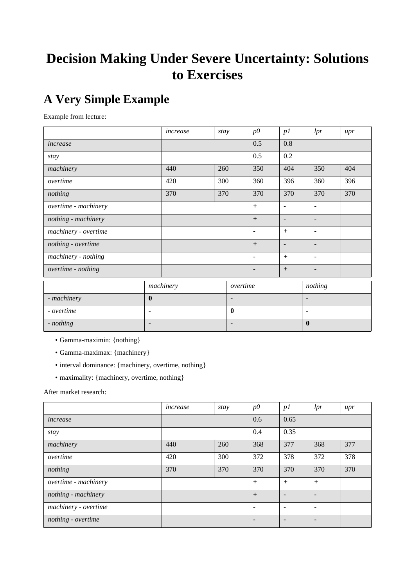# **Decision Making Under Severe Uncertainty: Solutions to Exercises**

# **A Very Simple Example**

Example from lecture:

|                      |                | increase  | stay |                | p0             | p1             |                | lpr            | $_{upr}$ |
|----------------------|----------------|-----------|------|----------------|----------------|----------------|----------------|----------------|----------|
| increase             |                |           |      |                | 0.5            | 0.8            |                |                |          |
| stay                 |                |           |      |                | 0.5            | 0.2            |                |                |          |
| machinery            |                | 440       | 260  |                | 350            | 404            |                | 350            | 404      |
| overtime             |                | 420       | 300  |                | 360            | 396            |                | 360            | 396      |
| nothing              |                | 370       | 370  |                | 370            | 370            |                | 370            | 370      |
| overtime - machinery |                |           |      |                | $+$            | $\blacksquare$ |                | ٠              |          |
| nothing - machinery  |                |           |      |                | $+$            | ٠              |                | $\blacksquare$ |          |
| machinery - overtime |                |           |      |                | $\blacksquare$ | $+$            |                | ٠              |          |
| nothing - overtime   |                |           |      |                | $+$            | $\blacksquare$ |                |                |          |
| machinery - nothing  |                |           |      |                | $\blacksquare$ | $+$            |                | ٠              |          |
| overtime - nothing   |                |           |      |                | $\blacksquare$ | $+$            |                | ٠              |          |
|                      |                | machinery |      | overtime       |                |                |                | nothing        |          |
| - machinery          | $\bf{0}$       |           |      | $\blacksquare$ |                |                | ٠              |                |          |
| - overtime           | $\blacksquare$ |           |      | $\mathbf{0}$   |                |                | $\blacksquare$ |                |          |
| - nothing            | $\blacksquare$ |           |      | $\blacksquare$ |                |                | $\bf{0}$       |                |          |

- Gamma-maximin: {nothing}
- Gamma-maximax: {machinery}
- interval dominance: {machinery, overtime, nothing}
- maximality: {machinery, overtime, nothing}

After market research:

|                      | increase | stay | $p\ddot{o}$    | p1             | lpr            | $_{upr}$ |
|----------------------|----------|------|----------------|----------------|----------------|----------|
| increase             |          |      | 0.6            | 0.65           |                |          |
| stay                 |          |      | 0.4            | 0.35           |                |          |
| machinery            | 440      | 260  | 368            | 377            | 368            | 377      |
| overtime             | 420      | 300  | 372            | 378            | 372            | 378      |
| nothing              | 370      | 370  | 370            | 370            | 370            | 370      |
| overtime - machinery |          |      | $+$            | $+$            | $+$            |          |
| nothing - machinery  |          |      | $+$            | $\blacksquare$ | $\blacksquare$ |          |
| machinery - overtime |          |      | $\blacksquare$ |                | $\blacksquare$ |          |
| nothing - overtime   |          |      |                |                |                |          |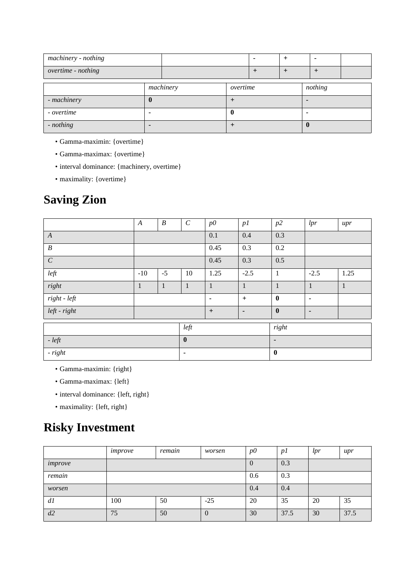| machinery - nothing |           |          |  |                |         |        |  |
|---------------------|-----------|----------|--|----------------|---------|--------|--|
| overtime - nothing  |           |          |  | $\overline{+}$ | $\pm$   | $^{+}$ |  |
|                     | machinery | overtime |  |                | nothing |        |  |
| - machinery         | 0         |          |  |                |         |        |  |
| - overtime          |           |          |  |                |         |        |  |
| - nothing           |           |          |  |                |         |        |  |

- Gamma-maximin: {overtime}
- Gamma-maximax: {overtime}
- interval dominance: {machinery, overtime}
- maximality: {overtime}

## **Saving Zion**

|                  | $\boldsymbol{A}$ | $\boldsymbol{B}$ | $\boldsymbol{C}$ | p0           | p1             | p2             | lpr          | $_{upr}$     |
|------------------|------------------|------------------|------------------|--------------|----------------|----------------|--------------|--------------|
| $\boldsymbol{A}$ |                  |                  |                  | 0.1          | 0.4            | 0.3            |              |              |
| $\boldsymbol{B}$ |                  |                  |                  | 0.45         | 0.3            | 0.2            |              |              |
| $\cal C$         |                  |                  |                  | 0.45         | 0.3            | 0.5            |              |              |
| left             | $-10$            | $-5$             | 10               | 1.25         | $-2.5$         | $\mathbf{1}$   | $-2.5$       | 1.25         |
| right            | $\mathbf{1}$     | $\mathbf{1}$     | $\mathbf{1}$     | $\mathbf{1}$ | $\mathbf{1}$   | $\mathbf{1}$   | $\mathbf{1}$ | $\mathbf{1}$ |
| $right-left$     |                  |                  |                  | ٠            | $\ddot{}$      | $\bf{0}$       | ٠            |              |
| left - right     |                  |                  |                  | $+$          | $\blacksquare$ | $\bf{0}$       | ٠            |              |
|                  |                  |                  | left             |              |                | right          |              |              |
| $- left$         | $\bf{0}$         |                  |                  |              |                | $\blacksquare$ |              |              |
| $- right$        |                  |                  | ٠                |              |                | $\bf{0}$       |              |              |

- Gamma-maximin: {right}
- Gamma-maximax: {left}
- interval dominance: {left, right}
- maximality: {left, right}

## **Risky Investment**

|         | improve | remain | worsen         | $p\Omega$ | p1   | lpr | upr  |
|---------|---------|--------|----------------|-----------|------|-----|------|
| improve |         |        |                | $\theta$  | 0.3  |     |      |
| remain  |         |        |                | 0.6       | 0.3  |     |      |
| worsen  |         |        |                | 0.4       | 0.4  |     |      |
| dl      | 100     | 50     | $-25$          | 20        | 35   | 20  | 35   |
| d2      | 75      | 50     | $\overline{0}$ | 30        | 37.5 | 30  | 37.5 |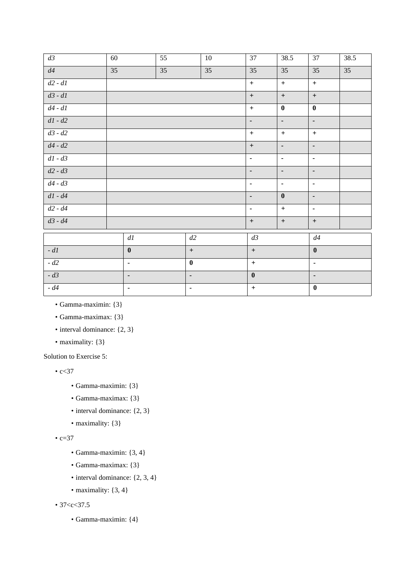| $d\mathfrak{Z}$                      | 60 |                          | 55 |                  | 10 | 37               | 38.5                             | 37               | 38.5 |  |
|--------------------------------------|----|--------------------------|----|------------------|----|------------------|----------------------------------|------------------|------|--|
| $d4$                                 | 35 |                          | 35 |                  | 35 | 35               | 35                               | 35               | 35   |  |
| $d2$ - $d\mathcal{I}$                |    |                          |    |                  |    | $\pm$            | $\boldsymbol{+}$                 | $\pm$            |      |  |
| $d\mathcal{3}\text{ - }d\mathcal{1}$ |    |                          |    |                  |    | $+$              | $\begin{array}{c} + \end{array}$ | $\boldsymbol{+}$ |      |  |
| $d4$ - $d1$                          |    |                          |    |                  |    | $+$              | $\bf{0}$                         | $\bf{0}$         |      |  |
| $d{\cal I}$ - $d2$                   |    |                          |    |                  |    | $\blacksquare$   | $\overline{\phantom{a}}$         | $\blacksquare$   |      |  |
| $d3$ - $d2\,$                        |    |                          |    |                  |    | $+$              | $+$                              | $\pm$            |      |  |
| $d4$ - $d2\,$                        |    |                          |    |                  |    | $+$              | $\blacksquare$                   | $\blacksquare$   |      |  |
| $d{\cal I}$ - $d{\cal S}$            |    |                          |    |                  |    | $\blacksquare$   | $\blacksquare$                   | $\blacksquare$   |      |  |
| $d2$ - $d3\,$                        |    |                          |    |                  |    | $\blacksquare$   | $\overline{\phantom{a}}$         | $\blacksquare$   |      |  |
| $d4$ - $d3$                          |    |                          |    |                  |    | $\blacksquare$   | $\blacksquare$                   | $\blacksquare$   |      |  |
| $d{\it l}$ - $d4$                    |    |                          |    |                  |    | $\blacksquare$   | $\bf{0}$                         | $\blacksquare$   |      |  |
| $d2$ - $d4\,$                        |    |                          |    |                  |    | $\blacksquare$   | $\boldsymbol{+}$                 | $\blacksquare$   |      |  |
| $d3 - d4$                            |    |                          |    |                  |    | $\boldsymbol{+}$ | $\boldsymbol{+}$                 | $\boldsymbol{+}$ |      |  |
|                                      |    | $d\mathfrak{l}$          |    | d2               |    | $d\mathfrak{Z}$  |                                  | $d4$             |      |  |
| - $d\mathfrak{l}$                    |    | $\boldsymbol{0}$         |    | $+$              |    | $+$              |                                  | $\bf{0}$         |      |  |
| - $d2$                               |    | ٠                        |    | $\boldsymbol{0}$ |    | $\pm$            |                                  | $\blacksquare$   |      |  |
| - $d3$                               |    | $\overline{\phantom{0}}$ |    | ٠                |    | $\boldsymbol{0}$ |                                  | $\blacksquare$   |      |  |
| - $d4$                               | ٠  |                          |    | $\blacksquare$   |    | $\pm$            |                                  | $\bf{0}$         |      |  |

• Gamma-maximin: {3}

• Gamma-maximax: {3}

- interval dominance: {2, 3}
- maximality: {3}

Solution to Exercise 5:

•  $c < 37$ 

- Gamma-maximin: {3}
- Gamma-maximax: {3}
- interval dominance: {2, 3}
- maximality: {3}

•  $c=37$ 

- Gamma-maximin: {3, 4}
- Gamma-maximax: {3}
- interval dominance:  $\{2, 3, 4\}$
- maximality:  $\{3, 4\}$

• 37 <  $c$  < 37.5

• Gamma-maximin: {4}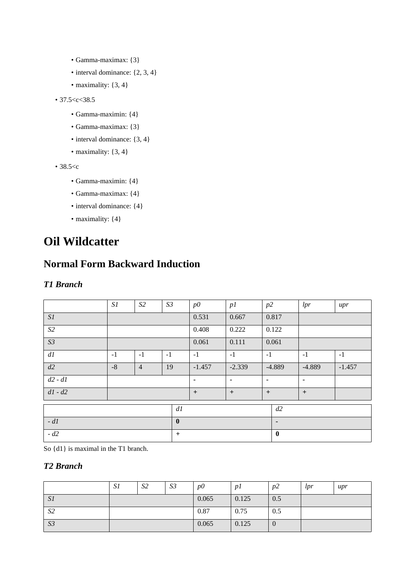- Gamma-maximax: {3}
- interval dominance:  $\{2, 3, 4\}$
- maximality:  $\{3, 4\}$

```
• 37.5 <c < 38.5
```
- Gamma-maximin: {4}
- Gamma-maximax: {3}
- interval dominance: {3, 4}
- maximality:  $\{3, 4\}$

• 38.5<c

- Gamma-maximin: {4}
- Gamma-maximax: {4}
- interval dominance:  ${4}$
- maximality:  ${4}$

## **Oil Wildcatter**

### **Normal Form Backward Induction**

#### *T1 Branch*

|             | S1       | S <sub>2</sub> | S <sub>3</sub> |     | $p\ddot{o}$    | p1             | p2             |          | lpr            | $_{upr}$ |  |  |
|-------------|----------|----------------|----------------|-----|----------------|----------------|----------------|----------|----------------|----------|--|--|
| SI          |          |                |                |     | 0.531          | 0.667          |                | 0.817    |                |          |  |  |
| $\sqrt{S2}$ |          |                |                |     | 0.408          | 0.222          |                | 0.122    |                |          |  |  |
| S3          |          |                |                |     | 0.061          | 0.111          |                | 0.061    |                |          |  |  |
| dl          | $-1$     | $-1$           | $-1$           |     | $-1$           | $-1$           | $-1$           |          | $-1$           | $-1$     |  |  |
| d2          | $-8$     | $\overline{4}$ | 19             |     | $-1.457$       | $-2.339$       |                | $-4.889$ | $-4.889$       | $-1.457$ |  |  |
| $d2 - d1$   |          |                |                |     | $\blacksquare$ | $\blacksquare$ | ٠              |          | $\blacksquare$ |          |  |  |
| $d1 - d2$   |          |                |                |     | $+$            | $+$            | $+$            |          | $+$            |          |  |  |
|             |          |                |                | dl  |                |                |                | d2       |                |          |  |  |
| $-d1$       | $\bf{0}$ |                |                |     |                |                | $\blacksquare$ |          |                |          |  |  |
| $-d2$       |          |                |                | $+$ |                |                |                |          | $\mathbf 0$    |          |  |  |

So {d1} is maximal in the T1 branch.

#### *T2 Branch*

|                | S1 | S <sub>2</sub> | S <sub>3</sub> | $p\ddot{o}$ | p1    | p2             | lpr | upr |
|----------------|----|----------------|----------------|-------------|-------|----------------|-----|-----|
| SI             |    |                |                | 0.065       | 0.125 | 0.5            |     |     |
| S <sub>2</sub> |    |                |                | 0.87        | 0.75  | 0.5            |     |     |
| S3             |    |                |                | 0.065       | 0.125 | $\overline{0}$ |     |     |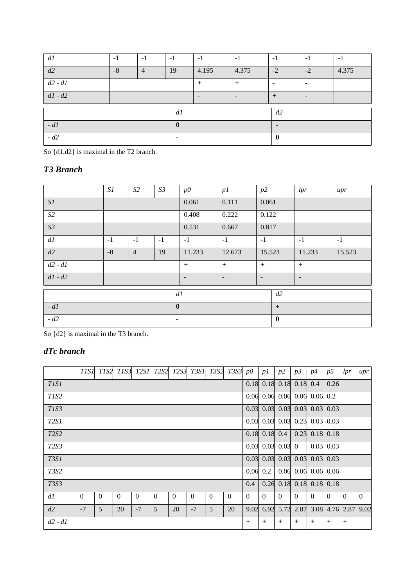| dl        | $-1$ | $-1$           | $-1$           | $-1$           | $-1$           | $-1$           | $-1$ | $-1$  |
|-----------|------|----------------|----------------|----------------|----------------|----------------|------|-------|
| d2        | $-8$ | $\overline{4}$ | 19             | 4.195          | 4.375          | $-2$           | $-2$ | 4.375 |
| $d2 - d1$ |      |                |                | $+$            | $\overline{+}$ | $\blacksquare$ |      |       |
| $d1 - d2$ |      |                |                | $\blacksquare$ | $\blacksquare$ | $^{+}$         |      |       |
|           |      |                | dl             |                |                | d2             |      |       |
| - $d1$    |      |                | $\mathbf{0}$   |                |                | $\blacksquare$ |      |       |
| $-d2$     |      |                | $\blacksquare$ |                |                | $\mathbf{0}$   |      |       |

So {d1,d2} is maximal in the T2 branch.

### *T3 Branch*

|           | S1   | S2             | S3 |                | p0           | p1             | p2             |              | lpr            | $_{upr}$ |       |       |  |       |       |       |  |  |  |
|-----------|------|----------------|----|----------------|--------------|----------------|----------------|--------------|----------------|----------|-------|-------|--|-------|-------|-------|--|--|--|
| SI        |      |                |    |                |              |                |                |              |                | 0.061    | 0.111 | 0.061 |  |       |       |       |  |  |  |
| S2        |      |                |    |                |              |                |                |              |                |          |       |       |  | 0.408 | 0.222 | 0.122 |  |  |  |
| S3        |      |                |    |                | 0.531        | 0.667          | 0.817          |              |                |          |       |       |  |       |       |       |  |  |  |
| dl        | $-1$ | $-1$<br>$-1$   |    |                | $-1$         | $-1$           | $-1$           |              | $-1$           | $-1$     |       |       |  |       |       |       |  |  |  |
| d2        | $-8$ | $\overline{4}$ | 19 |                | 11.233       | 12.673         | 15.523         |              | 11.233         | 15.523   |       |       |  |       |       |       |  |  |  |
| $d2 - d1$ |      |                |    |                | $+$          | $+$            | $+$            |              | $+$            |          |       |       |  |       |       |       |  |  |  |
| $d1 - d2$ |      |                |    |                | ٠            | $\blacksquare$ | $\blacksquare$ |              | $\blacksquare$ |          |       |       |  |       |       |       |  |  |  |
|           |      |                |    | d1             |              |                |                | d2           |                |          |       |       |  |       |       |       |  |  |  |
| $-d1$     |      |                |    |                | $\mathbf{0}$ |                |                | $+$          |                |          |       |       |  |       |       |       |  |  |  |
| $-d2$     |      |                |    | $\blacksquare$ |              |                |                | $\mathbf{0}$ |                |          |       |       |  |       |       |       |  |  |  |

So {d2} is maximal in the T3 branch.

### *dTc branch*

|             | <i>TISI</i> | TIS2     | T <sub>1</sub> S3 |          |          |          |          |          | T2S1 T2S2 T2S3 T3S1 T3S2 T3S3 p0 |          | p1                       | p2                           | p3          | p4                         | p5          | lpr       | upr      |
|-------------|-------------|----------|-------------------|----------|----------|----------|----------|----------|----------------------------------|----------|--------------------------|------------------------------|-------------|----------------------------|-------------|-----------|----------|
| <i>TIS1</i> |             |          |                   |          |          |          |          |          |                                  |          | $0.18$ 0.18 0.18 0.18    |                              |             | 0.4                        | 0.26        |           |          |
| T1S2        |             |          |                   |          |          |          |          |          |                                  |          | $0.06$ 0.06 0.06 0.06    |                              |             | 0.06                       | 0.2         |           |          |
| T1S3        |             |          |                   |          |          |          |          |          |                                  | 0.03     |                          | $0.03 \quad 0.03 \quad 0.03$ |             | 0.03                       | 0.03        |           |          |
| <b>T2S1</b> |             |          |                   |          |          |          |          |          |                                  |          | $0.03$ 0.03 0.03 0.23    |                              |             | 0.03                       | 0.03        |           |          |
| <b>T2S2</b> |             |          |                   |          |          |          |          |          |                                  |          | $0.18$ 0.18 0.4          |                              | 0.23        | 0.18                       | 0.18        |           |          |
| <b>T2S3</b> |             |          |                   |          |          |          |          |          |                                  |          | $0.03 \ 0.03 \ 0.03 \ 0$ |                              |             |                            | $0.03$ 0.03 |           |          |
| <b>T3S1</b> |             |          |                   |          |          |          |          |          |                                  |          | $0.03$ 0.03 0.03 0.03    |                              |             | 0.03                       | 0.03        |           |          |
| <b>T3S2</b> |             |          |                   |          |          |          |          |          |                                  | 0.06     | 0.2                      |                              | $0.06$ 0.06 |                            | $0.06$ 0.06 |           |          |
| <b>T3S3</b> |             |          |                   |          |          |          |          |          |                                  | 0.4      |                          |                              |             | $0.26$ 0.18 0.18 0.18 0.18 |             |           |          |
| dl          | $\theta$    | $\Omega$ | $\theta$          | $\Omega$ | $\theta$ | $\Omega$ | $\theta$ | $\theta$ | $\theta$                         | $\theta$ | $\theta$                 | $\Omega$                     | $\Omega$    | $\Omega$                   | $\Omega$    | $\Omega$  | $\theta$ |
| d2          | $-7$        | 5        | 20                | $-7$     | 5        | 20       | $-7$     | 5        | 20                               | 9.02     |                          | 6.92 5.72 2.87               |             | 3.08                       |             | 4.76 2.87 | 9.02     |
| $d2 - d1$   |             |          |                   |          |          |          |          |          |                                  | $+$      | $^{+}$                   | $^{+}$                       | $+$         | $+$                        | $+$         | $^{+}$    |          |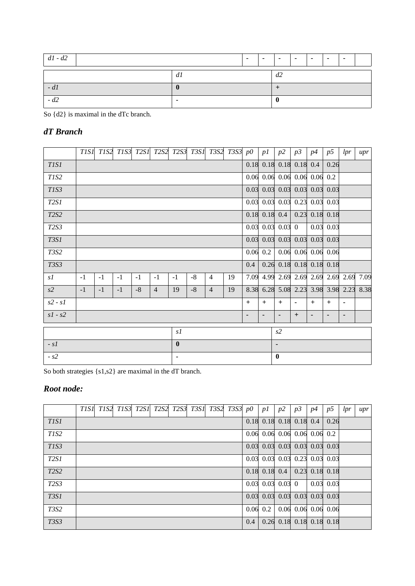| $d1 - d2$ | $\overline{\phantom{a}}$ | $\sim$ | $\overline{\phantom{a}}$ | $\blacksquare$ | $\sim$ | $\overline{\phantom{a}}$ | $\overline{\phantom{a}}$ |  |  |
|-----------|--------------------------|--------|--------------------------|----------------|--------|--------------------------|--------------------------|--|--|
|           | dl                       |        |                          | d2             |        |                          |                          |  |  |
| $-dI$     |                          |        |                          |                |        |                          |                          |  |  |
| $-d2$     |                          |        |                          |                |        |                          |                          |  |  |

So {d2} is maximal in the dTc branch.

### *dT Branch*

|                               | T <sub>1</sub> S <sub>1</sub> | TIS2 |      |      |                |                | TIS3 T2S1 T2S2 T2S3 T3S1 T3S2 |                | T3S3~p0 |     | p1         | p2                                                 | p3             | p4   | p5                    | lpr                      | $_{upr}$ |
|-------------------------------|-------------------------------|------|------|------|----------------|----------------|-------------------------------|----------------|---------|-----|------------|----------------------------------------------------|----------------|------|-----------------------|--------------------------|----------|
| T <sub>1</sub> S <sub>1</sub> |                               |      |      |      |                |                |                               |                |         |     |            | $0.18$ 0.18 0.18 0.18                              |                | 0.4  | 0.26                  |                          |          |
| T1S2                          |                               |      |      |      |                |                |                               |                |         |     |            | $0.06$ 0.06 0.06 0.06 0.06                         |                |      | 0.2                   |                          |          |
| T1S3                          |                               |      |      |      |                |                |                               |                |         |     |            | $0.03$ 0.03 0.03 0.03 0.03                         |                |      | 0.03                  |                          |          |
| <b>T2S1</b>                   |                               |      |      |      |                |                |                               |                |         |     |            | $0.03 \quad 0.03 \quad 0.03 \quad 0.23$            |                | 0.03 | 0.03                  |                          |          |
| T2S2                          |                               |      |      |      |                |                |                               |                |         |     |            | $0.18$ 0.18 0.4                                    | 0.23           | 0.18 | 0.18                  |                          |          |
| <b>T2S3</b>                   |                               |      |      |      |                |                |                               |                |         |     |            | $0.03 \ 0.03 \ 0.03 \ 0$                           |                | 0.03 | 0.03                  |                          |          |
| <b>T3S1</b>                   |                               |      |      |      |                |                |                               |                |         |     |            | $0.03 \quad 0.03 \quad 0.03 \quad 0.03 \quad 0.03$ |                |      | 0.03                  |                          |          |
| <b>T3S2</b>                   |                               |      |      |      |                |                |                               |                |         |     | $0.06$ 0.2 |                                                    |                |      | $0.06$ 0.06 0.06 0.06 |                          |          |
| <b>T3S3</b>                   |                               |      |      |      |                |                |                               |                |         | 0.4 |            | $0.26$ 0.18 0.18 0.18 0.18                         |                |      |                       |                          |          |
| s1                            | $-1$                          | $-1$ | $-1$ | $-1$ | $-1$           | $-1$           | $-8$                          | $\overline{4}$ | 19      |     |            | 7.09 4.99 2.69 2.69 2.69 2.69 2.69                 |                |      |                       |                          | 7.09     |
| s2                            | $-1$                          | $-1$ | $-1$ | $-8$ | $\overline{4}$ | 19             | $-8$                          | $\overline{4}$ | 19      |     |            | 8.38 6.28 5.08 2.23 3.98 3.98 2.23 8.38            |                |      |                       |                          |          |
| $s2 - s1$                     |                               |      |      |      |                |                |                               |                |         | $+$ | $+$        | $+$                                                | $\blacksquare$ | $+$  | $+$                   | $\blacksquare$           |          |
| $s1 - s2$                     |                               |      |      |      |                |                |                               |                |         | -   | ٠          | ٠                                                  | $+$            | -    |                       | $\overline{\phantom{0}}$ |          |
|                               |                               |      |      |      |                | s1             |                               |                |         |     |            | s2                                                 |                |      |                       |                          |          |
| $-SI$                         |                               |      |      |      |                | $\bf{0}$       |                               |                |         |     |            | ٠                                                  |                |      |                       |                          |          |
| $- s2$                        |                               |      |      |      |                | $\blacksquare$ |                               |                |         |     |            | $\bf{0}$                                           |                |      |                       |                          |          |
|                               |                               |      |      |      |                |                |                               |                |         |     |            |                                                    |                |      |                       |                          |          |

So both strategies {s1,s2} are maximal in the dT branch.

### *Root node:*

|                   | TIS1 | TIS2 TIS3 T2S1 T2S2 T2S3 T3S1 T3S2 T3S3 p0 |  |  |  |     | p1                              | p2 | p3 | <i>p4</i> | p5                                                  | lpr | upr |
|-------------------|------|--------------------------------------------|--|--|--|-----|---------------------------------|----|----|-----------|-----------------------------------------------------|-----|-----|
| <b>TIS1</b>       |      |                                            |  |  |  |     | $0.18$ 0.18 0.18 0.18 0.4       |    |    |           | 0.26                                                |     |     |
| T1S2              |      |                                            |  |  |  |     | $0.06$ 0.06 0.06 0.06 0.06 0.2  |    |    |           |                                                     |     |     |
| T <sub>1</sub> S3 |      |                                            |  |  |  |     | $0.03$ 0.03 0.03 0.03 0.03 0.03 |    |    |           |                                                     |     |     |
| <b>T2S1</b>       |      |                                            |  |  |  |     | $0.03$ 0.03 0.03 0.23 0.03 0.03 |    |    |           |                                                     |     |     |
| <b>T2S2</b>       |      |                                            |  |  |  |     | $0.18$ 0.18 0.4 0.23 0.18 0.18  |    |    |           |                                                     |     |     |
| <b>T2S3</b>       |      |                                            |  |  |  |     | $0.03$ 0.03 0.03 0              |    |    |           | $0.03 \ 0.03$                                       |     |     |
| <b>T3S1</b>       |      |                                            |  |  |  |     | $0.03$ 0.03 0.03 0.03 0.03 0.03 |    |    |           |                                                     |     |     |
| <b>T3S2</b>       |      |                                            |  |  |  |     | $0.06$ 0.2                      |    |    |           | $\vert 0.06 \vert 0.06 \vert 0.06 \vert 0.06 \vert$ |     |     |
| <b>T3S3</b>       |      |                                            |  |  |  | 0.4 |                                 |    |    |           | $0.26$ 0.18 0.18 0.18 0.18                          |     |     |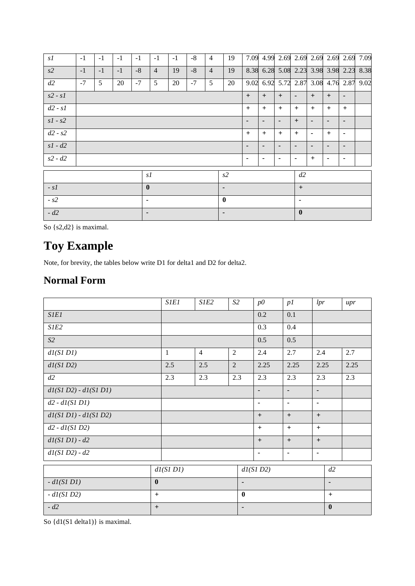| s1        | $-1$                                         | $-1$ | $-1$ | $-1$         | $-1$           | $-1$ | $-8$ | $\overline{4}$ | 19             |                |                | 7.09 4.99 2.69 2.69 2.69 2.69 2.69 7.09 |                |                |                |                          |  |  |
|-----------|----------------------------------------------|------|------|--------------|----------------|------|------|----------------|----------------|----------------|----------------|-----------------------------------------|----------------|----------------|----------------|--------------------------|--|--|
| s2        | $-1$                                         | $-1$ | $-1$ | $-8$         | $\overline{4}$ | 19   | $-8$ | $\overline{4}$ | 19             |                |                | 8.38 6.28 5.08 2.23 3.98 3.98 2.23 8.38 |                |                |                |                          |  |  |
| d2        | $-7$                                         | 5    | 20   | $-7$         | 5              | 20   | $-7$ | 5              | 20             |                |                | 9.02 6.92 5.72 2.87 3.08 4.76 2.87 9.02 |                |                |                |                          |  |  |
| $s2 - s1$ |                                              |      |      |              |                |      |      |                |                | $+$            | $+$            | $+$                                     | $\blacksquare$ | $+$            | $+$            | $\overline{\phantom{0}}$ |  |  |
| $d2 - s1$ |                                              |      |      |              |                |      |      |                |                | $+$            | $+$            | $+$                                     | $+$            | $+$            | $+$            | $+$                      |  |  |
| $s1 - s2$ |                                              |      |      |              |                |      |      |                |                | $\blacksquare$ | $\blacksquare$ | ٠                                       | $+$            | $\blacksquare$ | $\blacksquare$ | $\blacksquare$           |  |  |
| $d2 - s2$ |                                              |      |      |              |                |      |      |                |                | $+$            | $+$            | $+$                                     | $+$            | $\blacksquare$ | $+$            | $\blacksquare$           |  |  |
| $s1 - d2$ |                                              |      |      |              |                |      |      |                |                | $\blacksquare$ | $\blacksquare$ | ٠                                       |                | -              |                | $\blacksquare$           |  |  |
| $s2 - d2$ |                                              |      |      |              |                |      |      |                |                | $\blacksquare$ | ٠              | ٠                                       | ۰              | $+$            |                | ٠                        |  |  |
|           |                                              |      |      | s1           |                |      |      |                | s2             |                |                |                                         | d2             |                |                |                          |  |  |
| $-S1$     |                                              |      |      | $\mathbf{0}$ |                |      |      |                | $\blacksquare$ |                |                |                                         | $+$            |                |                |                          |  |  |
| $- s2$    |                                              |      |      | ٠            |                |      |      |                | $\bf{0}$       |                |                |                                         | $\blacksquare$ |                |                |                          |  |  |
| $-d2$     | $\bf{0}$<br>$\blacksquare$<br>$\blacksquare$ |      |      |              |                |      |      |                |                |                |                |                                         |                |                |                |                          |  |  |

So {s2,d2} is maximal.

# **Toy Example**

Note, for brevity, the tables below write D1 for delta1 and D2 for delta2.

## **Normal Form**

|                         |                  | <b>SIEI</b>  | S1E2           | S2             |                | $p\ddot{o}$    | p1             | lpr            |          | $_{upr}$ |
|-------------------------|------------------|--------------|----------------|----------------|----------------|----------------|----------------|----------------|----------|----------|
| <b>SIEI</b>             |                  |              |                |                |                | 0.2            | 0.1            |                |          |          |
| $SIE2$                  |                  |              |                |                |                | 0.3            | 0.4            |                |          |          |
| S2                      |                  |              |                |                |                | 0.5            | 0.5            |                |          |          |
| dI(SIDI)                |                  | $\mathbf{1}$ | $\overline{4}$ | $\overline{2}$ |                | 2.4            | 2.7            | 2.4            |          | 2.7      |
| dI(SI D2)               |                  | 2.5          | 2.5            | 2              |                | 2.25           | 2.25           | 2.25           |          | 2.25     |
| d2                      |                  | 2.3          | 2.3            | 2.3            |                | 2.3            | 2.3            | 2.3            |          | 2.3      |
| $dl(SI D2) - dl(SI D1)$ |                  |              |                |                |                | $\blacksquare$ | ٠              | $\blacksquare$ |          |          |
| $d2 - dI(SIDI)$         |                  |              |                |                |                | $\blacksquare$ | $\blacksquare$ | $\blacksquare$ |          |          |
| $dl(SIDI) - dl(SID2)$   |                  |              |                |                |                | $^{+}$         | $+$            | $+$            |          |          |
| $d2 - dI(SI D2)$        |                  |              |                |                |                | $+$            | $+$            | $+$            |          |          |
| $dl(SIDI) - d2$         |                  |              |                |                |                | $^{+}$         | $+$            | $+$            |          |          |
| $dl(S1 D2) - d2$        |                  |              |                |                |                | $\blacksquare$ | $\blacksquare$ | $\blacksquare$ |          |          |
|                         |                  | dI(SIDI)     |                |                |                | dI(SI D2)      |                |                | d2       |          |
| $ dI(SIDI)$             | $\boldsymbol{0}$ |              |                |                | $\blacksquare$ |                |                |                |          |          |
| $- dI(SI D2)$           | $+$              |              |                |                | $\bf{0}$       |                |                |                | $+$      |          |
| $-d2$                   | $+$              |              |                |                | ٠              |                |                |                | $\bf{0}$ |          |

So {d1(S1 delta1)} is maximal.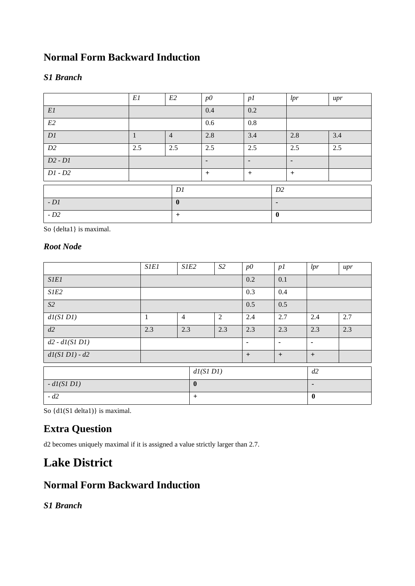### **Normal Form Backward Induction**

### *S1 Branch*

|                          | E1           | E2             | p0             | p1             |                | lpr            | $_{upr}$ |
|--------------------------|--------------|----------------|----------------|----------------|----------------|----------------|----------|
| $\mathbb{E} \mathbb{I}$  |              |                | 0.4            | 0.2            |                |                |          |
| E2                       |              |                | 0.6            | $0.8\,$        |                |                |          |
| $\mathcal{D}\mathcal{I}$ | $\mathbf{1}$ | $\overline{4}$ | 2.8            | 3.4            |                | 2.8            | 3.4      |
| D2                       | 2.5          | 2.5            | 2.5            | 2.5            |                | 2.5            | 2.5      |
| $D2 - D1$                |              |                | $\blacksquare$ | $\blacksquare$ |                | $\blacksquare$ |          |
| $DI - D2$                |              |                | $+$            | $+$            |                | $+$            |          |
|                          |              | DI             |                |                | D2             |                |          |
| $-D1$                    |              | $\mathbf{0}$   |                |                | $\blacksquare$ |                |          |
| $-D2$                    |              | $+$            |                |                | $\mathbf{0}$   |                |          |

So {delta1} is maximal.

### *Root Node*

|                 | <b>SIEI</b> | S1E2           |              | S2  | p0             | p1             | lpr            | upr |
|-----------------|-------------|----------------|--------------|-----|----------------|----------------|----------------|-----|
| <b>SIEI</b>     |             |                |              |     | 0.2            | 0.1            |                |     |
| S1E2            |             |                |              |     | 0.3            | 0.4            |                |     |
| S2              |             |                |              |     | 0.5            | 0.5            |                |     |
| dl(SIDI)        | 1           | $\overline{4}$ |              | 2   | 2.4            | 2.7            | 2.4            | 2.7 |
| d2              | 2.3         | 2.3            |              | 2.3 | 2.3            | 2.3            | 2.3            | 2.3 |
| $d2 - dI(SIDI)$ |             |                |              |     | $\blacksquare$ | $\blacksquare$ | $\blacksquare$ |     |
| $dI(SIDI) - d2$ |             |                |              |     | $+$            | $+$            | $+$            |     |
|                 |             |                | dI(SIDI)     |     |                |                | d2             |     |
| $-dI(SIDI)$     |             |                | $\mathbf{0}$ |     |                |                | $\blacksquare$ |     |
| $-d2$           |             |                | $+$          |     |                |                | $\bf{0}$       |     |

So  $\{d1(S1 delta1)\}\$ is maximal.

## **Extra Question**

d2 becomes uniquely maximal if it is assigned a value strictly larger than 2.7.

# **Lake District**

### **Normal Form Backward Induction**

*S1 Branch*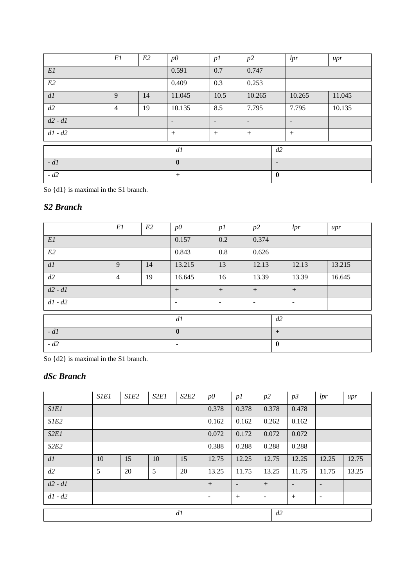|                 | E1             | E2 | $p\ddot{o}$    | p1                       | p2             |                | lpr                      | upr    |
|-----------------|----------------|----|----------------|--------------------------|----------------|----------------|--------------------------|--------|
| E1              |                |    | 0.591          | 0.7                      | 0.747          |                |                          |        |
| E2              |                |    | 0.409          | 0.3                      | 0.253          |                |                          |        |
| $d\mathfrak{l}$ | 9              | 14 | 11.045         | 10.5                     | 10.265         |                | 10.265                   | 11.045 |
| d2              | $\overline{4}$ | 19 | 10.135         | 8.5                      | 7.795          |                | 7.795                    | 10.135 |
| $d2 - d1$       |                |    | $\blacksquare$ | $\overline{\phantom{0}}$ | $\blacksquare$ |                | $\overline{\phantom{a}}$ |        |
| $d1 - d2$       |                |    | $+$            | $\ddot{}$                | $+$            |                | $+$                      |        |
|                 |                |    | dl             |                          |                | d2             |                          |        |
| $-d1$           |                |    | $\mathbf{0}$   |                          |                | $\blacksquare$ |                          |        |
| $-d2$           |                |    | $+$            |                          |                | $\bf{0}$       |                          |        |

So {d1} is maximal in the S1 branch.

### *S2 Branch*

|           | El             | E2 | p0             | p1  | p2    |              | lpr            | $_{upr}$ |
|-----------|----------------|----|----------------|-----|-------|--------------|----------------|----------|
| E1        |                |    | 0.157          | 0.2 | 0.374 |              |                |          |
| E2        |                |    | 0.843          | 0.8 | 0.626 |              |                |          |
| d1        | 9              | 14 | 13.215         | 13  | 12.13 |              | 12.13          | 13.215   |
| d2        | $\overline{4}$ | 19 | 16.645         | 16  | 13.39 |              | 13.39          | 16.645   |
| $d2 - d1$ |                |    | $+$            | $+$ | $+$   |              | $^{+}$         |          |
| $d1 - d2$ |                |    | ٠              | ٠   | ٠     |              | $\blacksquare$ |          |
|           |                |    | dl             |     |       | d2           |                |          |
| $-d1$     |                |    | $\bf{0}$       |     |       | $+$          |                |          |
| $-d2$     |                |    | $\blacksquare$ |     |       | $\mathbf{0}$ |                |          |

So {d2} is maximal in the S1 branch.

### *dSc Branch*

|             | <b>SIEI</b> | S1E <sub>2</sub> | S2E1 | S2E2 | p0    | p1    | p2             | p3    | lpr            | $_{upr}$ |
|-------------|-------------|------------------|------|------|-------|-------|----------------|-------|----------------|----------|
| <i>SIEI</i> |             |                  |      |      | 0.378 | 0.378 | 0.378          | 0.478 |                |          |
| S1E2        |             |                  |      |      | 0.162 | 0.162 | 0.262          | 0.162 |                |          |
| S2EI        |             |                  |      |      | 0.072 | 0.172 | 0.072          | 0.072 |                |          |
| S2E2        |             |                  |      |      | 0.388 | 0.288 | 0.288          | 0.288 |                |          |
| dl          | 10          | 15               | 10   | 15   | 12.75 | 12.25 | 12.75          | 12.25 | 12.25          | 12.75    |
| d2          | 5           | 20               | 5    | 20   | 13.25 | 11.75 | 13.25          | 11.75 | 11.75          | 13.25    |
| $d2 - d1$   |             |                  |      |      | $+$   | ٠     | $+$            |       | $\blacksquare$ |          |
| $d1 - d2$   |             |                  |      |      | ۰     | $+$   | $\blacksquare$ | $+$   | ٠              |          |
|             |             |                  |      | dl   |       |       | d2             |       |                |          |